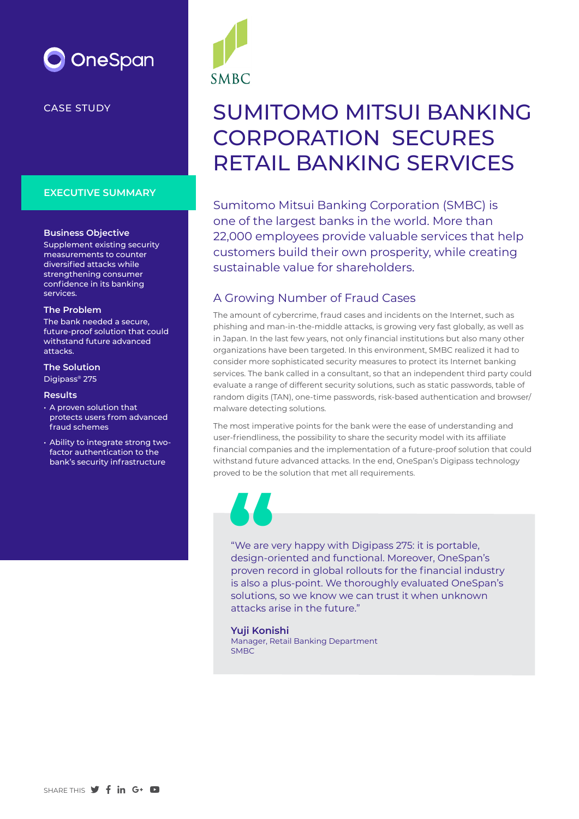

CASE STUDY

#### **EXECUTIVE SUMMARY**

#### **Business Objective**

Supplement existing security measurements to counter diversified attacks while strengthening consumer confidence in its banking services.

#### **The Problem**

The bank needed a secure, future-proof solution that could withstand future advanced attacks.

#### **The Solution**

Digipass® 275

#### **Results**

- A proven solution that protects users from advanced fraud schemes
- Ability to integrate strong twofactor authentication to the bank's security infrastructure



# SUMITOMO MITSUI BANKING CORPORATION SECURES RETAIL BANKING SERVICES

Sumitomo Mitsui Banking Corporation (SMBC) is one of the largest banks in the world. More than 22,000 employees provide valuable services that help customers build their own prosperity, while creating sustainable value for shareholders.

## A Growing Number of Fraud Cases

The amount of cybercrime, fraud cases and incidents on the Internet, such as phishing and man-in-the-middle attacks, is growing very fast globally, as well as in Japan. In the last few years, not only financial institutions but also many other organizations have been targeted. In this environment, SMBC realized it had to consider more sophisticated security measures to protect its Internet banking services. The bank called in a consultant, so that an independent third party could evaluate a range of different security solutions, such as static passwords, table of random digits (TAN), one-time passwords, risk-based authentication and browser/ malware detecting solutions.

The most imperative points for the bank were the ease of understanding and user-friendliness, the possibility to share the security model with its affiliate financial companies and the implementation of a future-proof solution that could withstand future advanced attacks. In the end, OneSpan's Digipass technology proved to be the solution that met all requirements.

"We are very happy with Digipass 275: it is portable, design-oriented and functional. Moreover, OneSpan's proven record in global rollouts for the financial industry is also a plus-point. We thoroughly evaluated OneSpan's solutions, so we know we can trust it when unknown attacks arise in the future." **Example 19**<br>
"We are v<br>
design-or<br>
proven re<br>
is also a r

**Yuji Konishi** Manager, Retail Banking Department SMBC